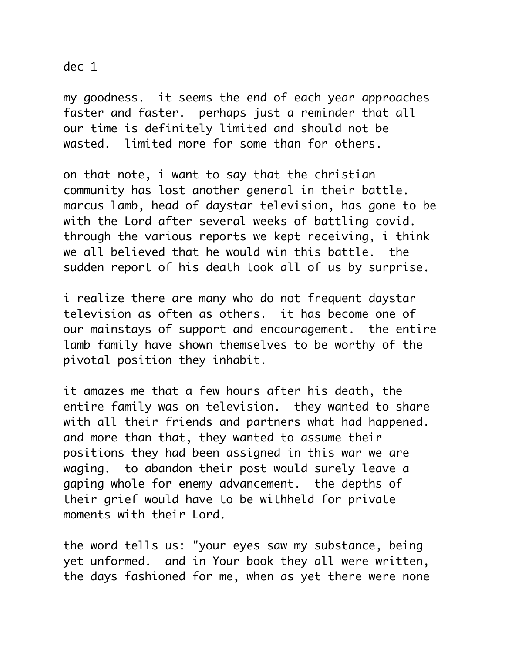dec 1

my goodness. it seems the end of each year approaches faster and faster. perhaps just a reminder that all our time is definitely limited and should not be wasted. limited more for some than for others.

on that note, i want to say that the christian community has lost another general in their battle. marcus lamb, head of daystar television, has gone to be with the Lord after several weeks of battling covid. through the various reports we kept receiving, i think we all believed that he would win this battle. the sudden report of his death took all of us by surprise.

i realize there are many who do not frequent daystar television as often as others. it has become one of our mainstays of support and encouragement. the entire lamb family have shown themselves to be worthy of the pivotal position they inhabit.

it amazes me that a few hours after his death, the entire family was on television. they wanted to share with all their friends and partners what had happened. and more than that, they wanted to assume their positions they had been assigned in this war we are waging. to abandon their post would surely leave a gaping whole for enemy advancement. the depths of their grief would have to be withheld for private moments with their Lord.

the word tells us: "your eyes saw my substance, being yet unformed. and in Your book they all were written, the days fashioned for me, when as yet there were none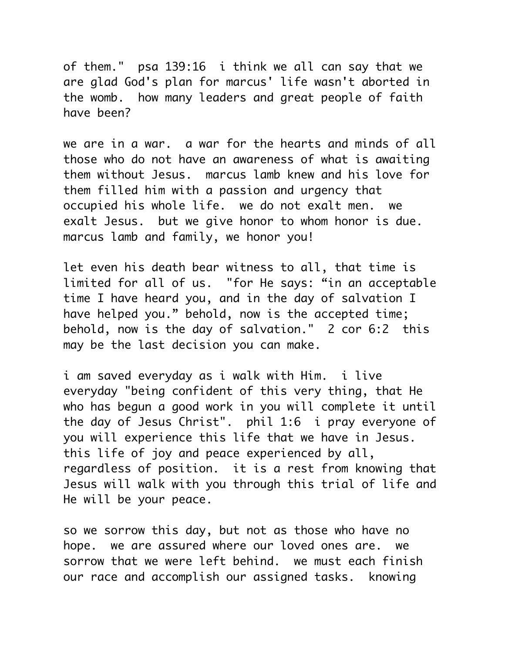of them." psa 139:16 i think we all can say that we are glad God's plan for marcus' life wasn't aborted in the womb. how many leaders and great people of faith have been?

we are in a war. a war for the hearts and minds of all those who do not have an awareness of what is awaiting them without Jesus. marcus lamb knew and his love for them filled him with a passion and urgency that occupied his whole life. we do not exalt men. we exalt Jesus. but we give honor to whom honor is due. marcus lamb and family, we honor you!

let even his death bear witness to all, that time is limited for all of us. "for He says: "in an acceptable time I have heard you, and in the day of salvation I have helped you." behold, now is the accepted time; behold, now is the day of salvation." 2 cor 6:2 this may be the last decision you can make.

i am saved everyday as i walk with Him. i live everyday "being confident of this very thing, that He who has begun a good work in you will complete it until the day of Jesus Christ". phil 1:6 i pray everyone of you will experience this life that we have in Jesus. this life of joy and peace experienced by all, regardless of position. it is a rest from knowing that Jesus will walk with you through this trial of life and He will be your peace.

so we sorrow this day, but not as those who have no hope. we are assured where our loved ones are. we sorrow that we were left behind. we must each finish our race and accomplish our assigned tasks. knowing